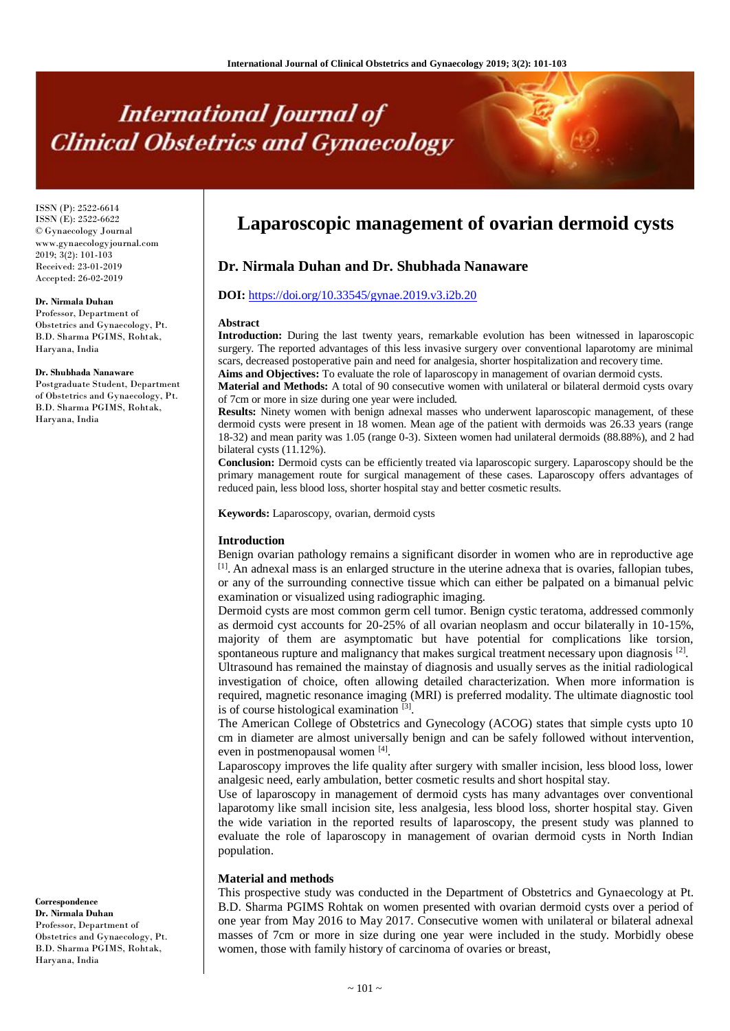# **International Journal of Clinical Obstetrics and Gynaecology**

ISSN (P): 2522-6614 ISSN (E): 2522-6622 © Gynaecology Journal www.gynaecologyjournal.com 2019; 3(2): 101-103 Received: 23-01-2019 Accepted: 26-02-2019

#### **Dr. Nirmala Duhan**

Professor, Department of Obstetrics and Gynaecology, Pt. B.D. Sharma PGIMS, Rohtak, Haryana, India

#### **Dr. Shubhada Nanaware**

Postgraduate Student, Department of Obstetrics and Gynaecology, Pt. B.D. Sharma PGIMS, Rohtak, Haryana, India

**Correspondence Dr. Nirmala Duhan** Professor, Department of Obstetrics and Gynaecology, Pt. B.D. Sharma PGIMS, Rohtak, Haryana, India

# **Laparoscopic management of ovarian dermoid cysts**

# **Dr. Nirmala Duhan and Dr. Shubhada Nanaware**

## **DOI:** <https://doi.org/10.33545/gynae.2019.v3.i2b.20>

#### **Abstract**

**Introduction:** During the last twenty years, remarkable evolution has been witnessed in laparoscopic surgery. The reported advantages of this less invasive surgery over conventional laparotomy are minimal scars, decreased postoperative pain and need for analgesia, shorter hospitalization and recovery time.

**Aims and Objectives:** To evaluate the role of laparoscopy in management of ovarian dermoid cysts.

**Material and Methods:** A total of 90 consecutive women with unilateral or bilateral dermoid cysts ovary of 7cm or more in size during one year were included.

**Results:** Ninety women with benign adnexal masses who underwent laparoscopic management, of these dermoid cysts were present in 18 women. Mean age of the patient with dermoids was 26.33 years (range 18-32) and mean parity was 1.05 (range 0-3). Sixteen women had unilateral dermoids (88.88%), and 2 had bilateral cysts (11.12%).

**Conclusion:** Dermoid cysts can be efficiently treated via laparoscopic surgery. Laparoscopy should be the primary management route for surgical management of these cases. Laparoscopy offers advantages of reduced pain, less blood loss, shorter hospital stay and better cosmetic results.

**Keywords:** Laparoscopy, ovarian, dermoid cysts

#### **Introduction**

Benign ovarian pathology remains a significant disorder in women who are in reproductive age [1]. An adnexal mass is an enlarged structure in the uterine adnexa that is ovaries, fallopian tubes, or any of the surrounding connective tissue which can either be palpated on a bimanual pelvic examination or visualized using radiographic imaging.

Dermoid cysts are most common germ cell tumor. Benign cystic teratoma, addressed commonly as dermoid cyst accounts for 20-25% of all ovarian neoplasm and occur bilaterally in 10-15%, majority of them are asymptomatic but have potential for complications like torsion, spontaneous rupture and malignancy that makes surgical treatment necessary upon diagnosis<sup>[2]</sup>. Ultrasound has remained the mainstay of diagnosis and usually serves as the initial radiological investigation of choice, often allowing detailed characterization. When more information is required, magnetic resonance imaging (MRI) is preferred modality. The ultimate diagnostic tool is of course histological examination [3].

The American College of Obstetrics and Gynecology (ACOG) states that simple cysts upto 10 cm in diameter are almost universally benign and can be safely followed without intervention, even in postmenopausal women [4].

Laparoscopy improves the life quality after surgery with smaller incision, less blood loss, lower analgesic need, early ambulation, better cosmetic results and short hospital stay.

Use of laparoscopy in management of dermoid cysts has many advantages over conventional laparotomy like small incision site, less analgesia, less blood loss, shorter hospital stay. Given the wide variation in the reported results of laparoscopy, the present study was planned to evaluate the role of laparoscopy in management of ovarian dermoid cysts in North Indian population.

#### **Material and methods**

This prospective study was conducted in the Department of Obstetrics and Gynaecology at Pt. B.D. Sharma PGIMS Rohtak on women presented with ovarian dermoid cysts over a period of one year from May 2016 to May 2017. Consecutive women with unilateral or bilateral adnexal masses of 7cm or more in size during one year were included in the study. Morbidly obese women, those with family history of carcinoma of ovaries or breast,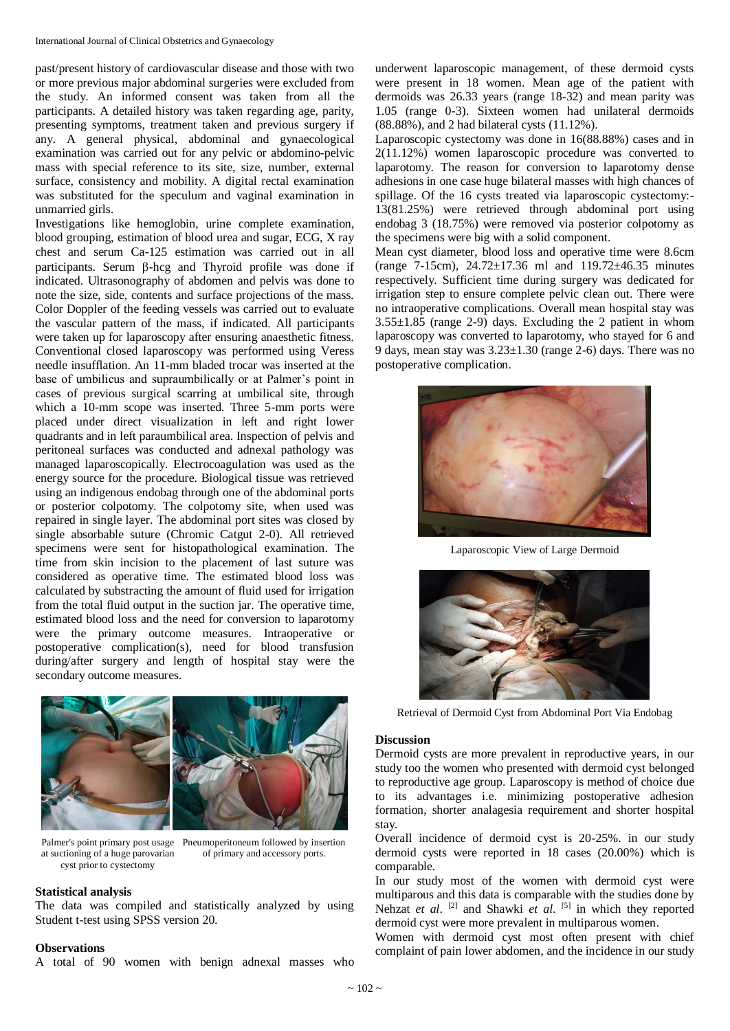past/present history of cardiovascular disease and those with two or more previous major abdominal surgeries were excluded from the study. An informed consent was taken from all the participants. A detailed history was taken regarding age, parity, presenting symptoms, treatment taken and previous surgery if any. A general physical, abdominal and gynaecological examination was carried out for any pelvic or abdomino-pelvic mass with special reference to its site, size, number, external surface, consistency and mobility. A digital rectal examination was substituted for the speculum and vaginal examination in unmarried girls.

Investigations like hemoglobin, urine complete examination, blood grouping, estimation of blood urea and sugar, ECG, X ray chest and serum Ca-125 estimation was carried out in all participants. Serum  $\beta$ -hcg and Thyroid profile was done if indicated. Ultrasonography of abdomen and pelvis was done to note the size, side, contents and surface projections of the mass. Color Doppler of the feeding vessels was carried out to evaluate the vascular pattern of the mass, if indicated. All participants were taken up for laparoscopy after ensuring anaesthetic fitness. Conventional closed laparoscopy was performed using Veress needle insufflation. An 11-mm bladed trocar was inserted at the base of umbilicus and supraumbilically or at Palmer's point in cases of previous surgical scarring at umbilical site, through which a 10-mm scope was inserted. Three 5-mm ports were placed under direct visualization in left and right lower quadrants and in left paraumbilical area. Inspection of pelvis and peritoneal surfaces was conducted and adnexal pathology was managed laparoscopically. Electrocoagulation was used as the energy source for the procedure. Biological tissue was retrieved using an indigenous endobag through one of the abdominal ports or posterior colpotomy. The colpotomy site, when used was repaired in single layer. The abdominal port sites was closed by single absorbable suture (Chromic Catgut 2-0). All retrieved specimens were sent for histopathological examination. The time from skin incision to the placement of last suture was considered as operative time. The estimated blood loss was calculated by substracting the amount of fluid used for irrigation from the total fluid output in the suction jar. The operative time, estimated blood loss and the need for conversion to laparotomy were the primary outcome measures. Intraoperative or postoperative complication(s), need for blood transfusion during/after surgery and length of hospital stay were the secondary outcome measures.



Palmer's point primary post usage Pneumoperitoneum followed by insertion at suctioning of a huge parovarian cyst prior to cystectomy

of primary and accessory ports.

#### **Statistical analysis**

The data was compiled and statistically analyzed by using Student t-test using SPSS version 20.

#### **Observations**

A total of 90 women with benign adnexal masses who

underwent laparoscopic management, of these dermoid cysts were present in 18 women. Mean age of the patient with dermoids was 26.33 years (range 18-32) and mean parity was 1.05 (range 0-3). Sixteen women had unilateral dermoids (88.88%), and 2 had bilateral cysts (11.12%).

Laparoscopic cystectomy was done in 16(88.88%) cases and in 2(11.12%) women laparoscopic procedure was converted to laparotomy. The reason for conversion to laparotomy dense adhesions in one case huge bilateral masses with high chances of spillage. Of the 16 cysts treated via laparoscopic cystectomy:- 13(81.25%) were retrieved through abdominal port using endobag 3 (18.75%) were removed via posterior colpotomy as the specimens were big with a solid component.

Mean cyst diameter, blood loss and operative time were 8.6cm (range 7-15cm), 24.72±17.36 ml and 119.72±46.35 minutes respectively. Sufficient time during surgery was dedicated for irrigation step to ensure complete pelvic clean out. There were no intraoperative complications. Overall mean hospital stay was  $3.55\pm1.85$  (range 2-9) days. Excluding the 2 patient in whom laparoscopy was converted to laparotomy, who stayed for 6 and 9 days, mean stay was  $3.23 \pm 1.30$  (range 2-6) days. There was no postoperative complication.



Laparoscopic View of Large Dermoid



Retrieval of Dermoid Cyst from Abdominal Port Via Endobag

#### **Discussion**

Dermoid cysts are more prevalent in reproductive years, in our study too the women who presented with dermoid cyst belonged to reproductive age group. Laparoscopy is method of choice due to its advantages i.e. minimizing postoperative adhesion formation, shorter analagesia requirement and shorter hospital stay.

Overall incidence of dermoid cyst is 20-25%. in our study dermoid cysts were reported in 18 cases (20.00%) which is comparable.

In our study most of the women with dermoid cyst were multiparous and this data is comparable with the studies done by Nehzat *et al.* <sup>[2]</sup> and Shawki *et al.* <sup>[5]</sup> in which they reported dermoid cyst were more prevalent in multiparous women.

Women with dermoid cyst most often present with chief complaint of pain lower abdomen, and the incidence in our study